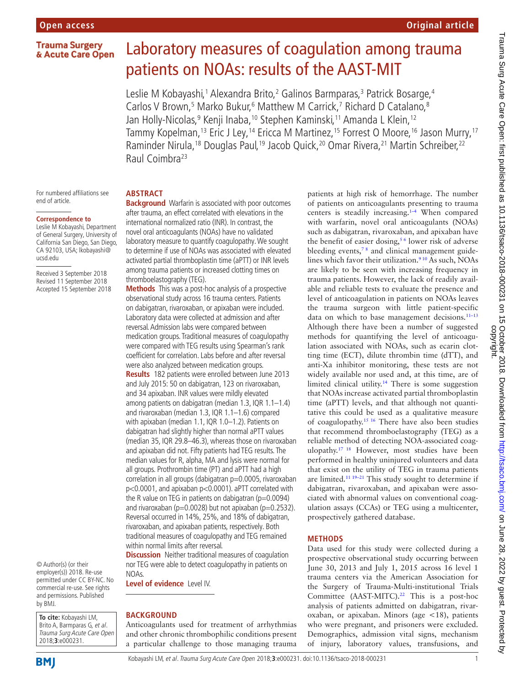**Trauma Surgery** & Acute Care Open

# Laboratory measures of coagulation among trauma patients on NOAs: results of the AAST-MIT

Leslie M Kobayashi,<sup>1</sup> Alexandra Brito,<sup>2</sup> Galinos Barmparas,<sup>3</sup> Patrick Bosarge,<sup>4</sup> Carlos V Brown,<sup>5</sup> Marko Bukur,<sup>6</sup> Matthew M Carrick,<sup>7</sup> Richard D Catalano,<sup>8</sup> Jan Holly-Nicolas,<sup>9</sup> Kenji Inaba,<sup>10</sup> Stephen Kaminski,<sup>11</sup> Amanda L Klein,<sup>12</sup> Tammy Kopelman,<sup>13</sup> Eric J Ley,<sup>14</sup> Ericca M Martinez,<sup>15</sup> Forrest O Moore,<sup>16</sup> Jason Murry,<sup>17</sup> Raminder Nirula,<sup>18</sup> Douglas Paul,<sup>19</sup> Jacob Quick,<sup>20</sup> Omar Rivera,<sup>21</sup> Martin Schreiber,<sup>22</sup> Raul Coimbra<sup>23</sup>

For numbered affiliations see end of article.

#### **Correspondence to**

Leslie M Kobayashi, Department of General Surgery, University of California San Diego, San Diego, CA 92103, USA; lkobayashi@ ucsd.edu

Received 3 September 2018 Revised 11 September 2018 Accepted 15 September 2018

© Author(s) (or their employer(s)) 2018. Re-use permitted under CC BY-NC. No commercial re-use. See rights and permissions. Published by BMJ.

**To cite:** Kobayashi LM, Brito A, Barmparas G, et al. Trauma Surg Acute Care Open 2018;**3**:e000231.

# **Abstract**

**Background** Warfarin is associated with poor outcomes after trauma, an effect correlated with elevations in the international normalized ratio (INR). In contrast, the novel oral anticoagulants (NOAs) have no validated laboratory measure to quantify coagulopathy. We sought to determine if use of NOAs was associated with elevated activated partial thromboplastin time (aPTT) or INR levels among trauma patients or increased clotting times on thromboelastography (TEG).

**Methods** This was a post-hoc analysis of a prospective observational study across 16 trauma centers. Patients on dabigatran, rivaroxaban, or apixaban were included. Laboratory data were collected at admission and after reversal. Admission labs were compared between medication groups. Traditional measures of coagulopathy were compared with TEG results using Spearman's rank coefficient for correlation. Labs before and after reversal were also analyzed between medication groups. **Results** 182 patients were enrolled between June 2013 and July 2015: 50 on dabigatran, 123 on rivaroxaban, and 34 apixaban. INR values were mildly elevated among patients on dabigatran (median 1.3, IQR 1.1–1.4) and rivaroxaban (median 1.3, IQR 1.1–1.6) compared with apixaban (median 1.1, IQR 1.0–1.2). Patients on dabigatran had slightly higher than normal aPTT values (median 35, IQR 29.8–46.3), whereas those on rivaroxaban and apixaban did not. Fifty patients had TEG results. The median values for R, alpha, MA and lysis were normal for all groups. Prothrombin time (PT) and aPTT had a high correlation in all groups (dabigatran p=0.0005, rivaroxaban p<0.0001, and apixaban p<0.0001). aPTT correlated with the R value on TEG in patients on dabigatran ( $p=0.0094$ ) and rivaroxaban (p=0.0028) but not apixaban (p=0.2532). Reversal occurred in 14%, 25%, and 18% of dabigatran, rivaroxaban, and apixaban patients, respectively. Both traditional measures of coagulopathy and TEG remained within normal limits after reversal.

**Discussion** Neither traditional measures of coagulation nor TEG were able to detect coagulopathy in patients on NOAs.

**Level of evidence** Level IV.

### **BACKGROUND**

Anticoagulants used for treatment of arrhythmias and other chronic thrombophilic conditions present a particular challenge to those managing trauma patients at high risk of hemorrhage. The number of patients on anticoagulants presenting to trauma centers is steadily increasing.[1–4](#page-5-0) When compared with warfarin, novel oral anticoagulants (NOAs) such as dabigatran, rivaroxaban, and apixaban have the benefit of easier dosing,<sup>56</sup> lower risk of adverse bleeding events,<sup>78</sup> and clinical management guidelines which favor their utilization.<sup>910</sup> As such, NOAs are likely to be seen with increasing frequency in trauma patients. However, the lack of readily available and reliable tests to evaluate the presence and level of anticoagulation in patients on NOAs leaves the trauma surgeon with little patient-specific data on which to base management decisions.<sup>11-13</sup> Although there have been a number of suggested methods for quantifying the level of anticoagulation associated with NOAs, such as ecarin clotting time (ECT), dilute thrombin time (dTT), and anti-Xa inhibitor monitoring, these tests are not widely available nor used and, at this time, are of limited clinical utility[.14](#page-5-5) There is some suggestion that NOAs increase activated partial thromboplastin time (aPTT) levels, and that although not quantitative this could be used as a qualitative measure of coagulopathy.[15 16](#page-5-6) There have also been studies that recommend thromboelastography (TEG) as a reliable method of detecting NOA-associated coagulopathy[.17 18](#page-5-7) However, most studies have been performed in healthy uninjured volunteers and data that exist on the utility of TEG in trauma patients are limited.[11 19–21](#page-5-4) This study sought to determine if dabigatran, rivaroxaban, and apixaban were associated with abnormal values on conventional coagulation assays (CCAs) or TEG using a multicenter, prospectively gathered database.

**Original article**

# **Methods**

Data used for this study were collected during a prospective observational study occurring between June 30, 2013 and July 1, 2015 across 16 level 1 trauma centers via the American Association for the Surgery of Trauma-Multi-institutional Trials Committee (AAST-MITC).<sup>[22](#page-5-8)</sup> This is a post-hoc analysis of patients admitted on dabigatran, rivaroxaban, or apixaban. Minors (age <18), patients who were pregnant, and prisoners were excluded. Demographics, admission vital signs, mechanism of injury, laboratory values, transfusions, and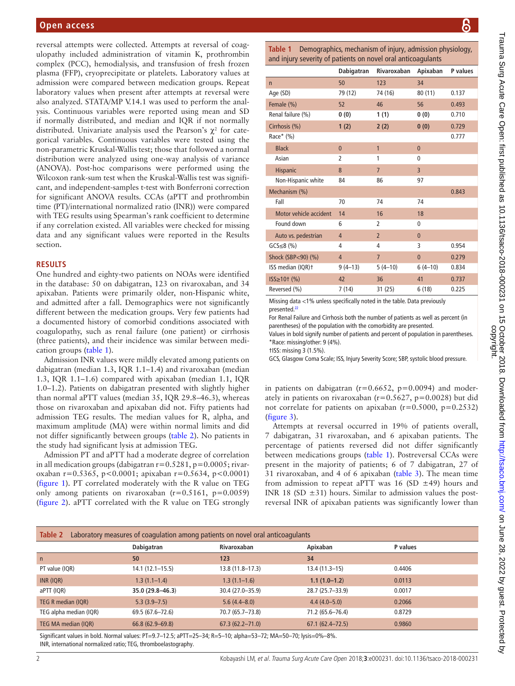reversal attempts were collected. Attempts at reversal of coagulopathy included administration of vitamin K, prothrombin complex (PCC), hemodialysis, and transfusion of fresh frozen plasma (FFP), cryoprecipitate or platelets. Laboratory values at admission were compared between medication groups. Repeat laboratory values when present after attempts at reversal were also analyzed. STATA/MP V.14.1 was used to perform the analysis. Continuous variables were reported using mean and SD if normally distributed, and median and IQR if not normally distributed. Univariate analysis used the Pearson's  $\chi^2$  for categorical variables. Continuous variables were tested using the non-parametric Kruskal-Wallis test; those that followed a normal distribution were analyzed using one-way analysis of variance (ANOVA). Post-hoc comparisons were performed using the Wilcoxon rank-sum test when the Kruskal-Wallis test was significant, and independent-samples t-test with Bonferroni correction for significant ANOVA results. CCAs (aPTT and prothrombin time (PT)/international normalized ratio (INR)) were compared with TEG results using Spearman's rank coefficient to determine if any correlation existed. All variables were checked for missing data and any significant values were reported in the Results section.

#### **Results**

One hundred and eighty-two patients on NOAs were identified in the database: 50 on dabigatran, 123 on rivaroxaban, and 34 apixaban. Patients were primarily older, non-Hispanic white, and admitted after a fall. Demographics were not significantly different between the medication groups. Very few patients had a documented history of comorbid conditions associated with coagulopathy, such as renal failure (one patient) or cirrhosis (three patients), and their incidence was similar between medication groups ([table](#page-1-0) 1).

Admission INR values were mildly elevated among patients on dabigatran (median 1.3, IQR 1.1–1.4) and rivaroxaban (median 1.3, IQR 1.1–1.6) compared with apixaban (median 1.1, IQR 1.0–1.2). Patients on dabigatran presented with slightly higher than normal aPTT values (median 35, IQR 29.8–46.3), whereas those on rivaroxaban and apixaban did not. Fifty patients had admission TEG results. The median values for R, alpha, and maximum amplitude (MA) were within normal limits and did not differ significantly between groups [\(table](#page-1-1) 2). No patients in the study had significant lysis at admission TEG.

Admission PT and aPTT had a moderate degree of correlation in all medication groups (dabigatran  $r=0.5281$ ,  $p=0.0005$ ; rivaroxaban r=0.5365, p<0.0001; apixaban r=0.5634, p<0.0001) ([figure](#page-2-0) 1). PT correlated moderately with the R value on TEG only among patients on rivaroxaban  $(r=0.5161, p=0.0059)$ ([figure](#page-3-0) 2). aPTT correlated with the R value on TEG strongly

<span id="page-1-0"></span>**Table 1** Demographics, mechanism of injury, admission physiology, and injury severity of patients on novel oral anticoagulants

|                        | Dabigatran     | Rivaroxaban    | Apixaban       | P values |
|------------------------|----------------|----------------|----------------|----------|
| $\overline{n}$         | 50             | 123            | 34             |          |
| Age (SD)               | 79 (12)        | 74 (16)        | 80 (11)        | 0.137    |
| Female (%)             | 52             | 46             | 56             | 0.493    |
| Renal failure (%)      | 0(0)           | 1(1)           | 0(0)           | 0.710    |
| Cirrhosis (%)          | 1(2)           | 2(2)           | 0(0)           | 0.729    |
| Race $*(\%)$           |                |                |                | 0.777    |
| <b>Black</b>           | $\overline{0}$ | 1              | $\overline{0}$ |          |
| Asian                  | $\overline{2}$ | 1              | 0              |          |
| <b>Hispanic</b>        | 8              | $\overline{7}$ | $\overline{3}$ |          |
| Non-Hispanic white     | 84             | 86             | 97             |          |
| Mechanism (%)          |                |                |                | 0.843    |
| Fall                   | 70             | 74             | 74             |          |
| Motor vehicle accident | 14             | 16             | 18             |          |
| Found down             | 6              | $\overline{2}$ | 0              |          |
| Auto vs. pedestrian    | $\overline{4}$ | $\overline{2}$ | $\overline{0}$ |          |
| $GCS \le 8$ (%)        | 4              | 4              | 3              | 0.954    |
| Shock (SBP<90) (%)     | $\overline{4}$ | $\overline{7}$ | $\Omega$       | 0.279    |
| ISS median (IQR)+      | $9(4-13)$      | $5(4-10)$      | $6(4-10)$      | 0.834    |
| $ISS \ge 10^+ (%)$     | 42             | 36             | 41             | 0.737    |
| Reversed (%)           | 7(14)          | 31 (25)        | 6(18)          | 0.225    |

Missing data <1% unless specifically noted in the table. Data previously presented<sup>22</sup>

For Renal Failure and Cirrhosis both the number of patients as well as percent (in parentheses) of the population with the comorbidity are presented. Values in bold signify number of patients and percent of population in parentheses.

\*Race: missing/other: 9 (4%).

†ISS: missing 3 (1.5%).

GCS, Glasgow Coma Scale; ISS, Injury Severity Score; SBP, systolic blood pressure.

in patients on dabigatran ( $r=0.6652$ ,  $p=0.0094$ ) and moderately in patients on rivaroxaban ( $r=0.5627$ ,  $p=0.0028$ ) but did not correlate for patients on apixaban  $(r=0.5000, p=0.2532)$ ([figure](#page-3-1) 3).

Attempts at reversal occurred in 19% of patients overall, 7 dabigatran, 31 rivaroxaban, and 6 apixaban patients. The percentage of patients reversed did not differ significantly between medications groups [\(table](#page-1-0) 1). Postreversal CCAs were present in the majority of patients; 6 of 7 dabigatran, 27 of 31 rivaroxaban, and 4 of 6 apixaban [\(table](#page-4-0) 3). The mean time from admission to repeat aPTT was 16 (SD  $\pm$ 49) hours and INR 18 (SD  $\pm$ 31) hours. Similar to admission values the postreversal INR of apixaban patients was significantly lower than

<span id="page-1-1"></span>

| Table 2<br>Laboratory measures of coagulation among patients on novel oral anticoagulants                                                                                                                                                          |                     |                     |                     |          |  |  |  |
|----------------------------------------------------------------------------------------------------------------------------------------------------------------------------------------------------------------------------------------------------|---------------------|---------------------|---------------------|----------|--|--|--|
|                                                                                                                                                                                                                                                    | Dabigatran          | Rivaroxaban         | Apixaban            | P values |  |  |  |
| $\mathsf{n}$                                                                                                                                                                                                                                       | 50                  | 123                 | 34                  |          |  |  |  |
| PT value (IQR)                                                                                                                                                                                                                                     | $14.1(12.1 - 15.5)$ | $13.8(11.8 - 17.3)$ | $13.4(11.3-15)$     | 0.4406   |  |  |  |
| INR (IQR)                                                                                                                                                                                                                                          | $1.3(1.1-1.4)$      | $1.3(1.1-1.6)$      | $1.1(1.0-1.2)$      | 0.0113   |  |  |  |
| aPTT (IQR)                                                                                                                                                                                                                                         | 35.0 (29.8-46.3)    | 30.4 (27.0-35.9)    | 28.7 (25.7-33.9)    | 0.0017   |  |  |  |
| TEG R median (IQR)                                                                                                                                                                                                                                 | $5.3(3.9 - 7.5)$    | $5.6(4.4 - 8.0)$    | $4.4(4.0 - 5.0)$    | 0.2066   |  |  |  |
| TEG alpha median (IQR)                                                                                                                                                                                                                             | 69.5 (67.6-72.6)    | 70.7 (65.7-73.8)    | 71.2 (65.6-76.4)    | 0.8729   |  |  |  |
| TEG MA median (IQR)                                                                                                                                                                                                                                | $66.8(62.9 - 69.8)$ | $67.3(62.2 - 71.0)$ | $67.1(62.4 - 72.5)$ | 0.9860   |  |  |  |
| $\mathcal{C}^1,\ldots,\mathcal{C}^1,\ldots,\mathcal{C}^1,\ldots,\mathcal{C}^1$ and $\mathcal{C}^1,\ldots,\mathcal{C}^m$ and $\mathcal{C}^1,\ldots,\mathcal{C}^m$ and $\mathcal{C}^1,\ldots,\mathcal{C}^m$ and $\mathcal{C}^1,\ldots,\mathcal{C}^m$ |                     |                     |                     |          |  |  |  |

Significant values in bold. Normal values: PT=9.7–12.5; aPTT=25–34; R=5–10; alpha=53–72; MA=50–70; lysis=0%–8%. INR, international normalized ratio; TEG, thromboelastography.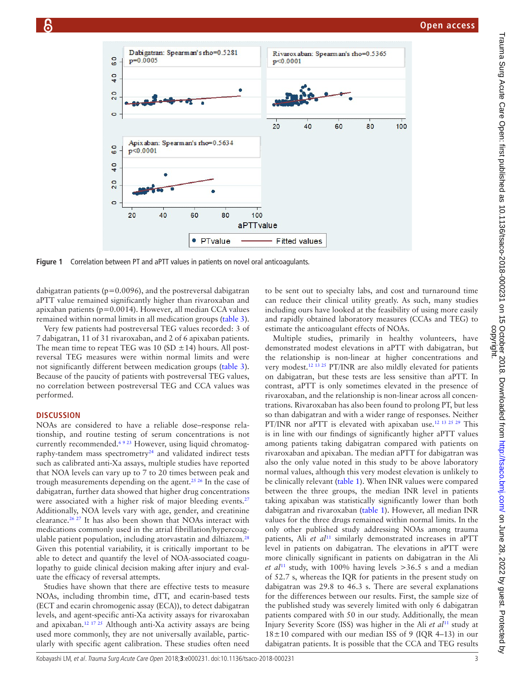

**Figure 1** Correlation between PT and aPTT values in patients on novel oral anticoagulants.

dabigatran patients ( $p=0.0096$ ), and the postreversal dabigatran aPTT value remained significantly higher than rivaroxaban and apixaban patients (p=0.0014). However, all median CCA values remained within normal limits in all medication groups [\(table](#page-4-0) 3).

Very few patients had postreversal TEG values recorded: 3 of 7 dabigatran, 11 of 31 rivaroxaban, and 2 of 6 apixaban patients. The mean time to repeat TEG was 10 (SD  $\pm$ 14) hours. All postreversal TEG measures were within normal limits and were not significantly different between medication groups ([table](#page-4-0) 3). Because of the paucity of patients with postreversal TEG values, no correlation between postreversal TEG and CCA values was performed.

#### **Discussion**

NOAs are considered to have a reliable dose–response relationship, and routine testing of serum concentrations is not currently recommended[.6 9 23](#page-5-9) However, using liquid chromatography-tandem mass spectrometry $24$  and validated indirect tests such as calibrated anti-Xa assays, multiple studies have reported that NOA levels can vary up to 7 to 20 times between peak and trough measurements depending on the agent.<sup>25,26</sup> In the case of dabigatran, further data showed that higher drug concentrations were associated with a higher risk of major bleeding events.<sup>[27](#page-5-12)</sup> Additionally, NOA levels vary with age, gender, and creatinine clearance.<sup>26 27</sup> It has also been shown that NOAs interact with medications commonly used in the atrial fibrillation/hypercoagulable patient population, including atorvastatin and diltiazem.<sup>2</sup> Given this potential variability, it is critically important to be able to detect and quantify the level of NOA-associated coagulopathy to guide clinical decision making after injury and evaluate the efficacy of reversal attempts.

Studies have shown that there are effective tests to measure NOAs, including thrombin time, dTT, and ecarin-based tests (ECT and ecarin chromogenic assay (ECA)), to detect dabigatran levels, and agent-specific anti-Xa activity assays for rivaroxaban and apixaban.<sup>12 17 25</sup> Although anti-Xa activity assays are being used more commonly, they are not universally available, particularly with specific agent calibration. These studies often need

<span id="page-2-0"></span>to be sent out to specialty labs, and cost and turnaround time can reduce their clinical utility greatly. As such, many studies including ours have looked at the feasibility of using more easily and rapidly obtained laboratory measures (CCAs and TEG) to estimate the anticoagulant effects of NOAs.

Multiple studies, primarily in healthy volunteers, have demonstrated modest elevations in aPTT with dabigatran, but the relationship is non-linear at higher concentrations and very modest.[12 13 25](#page-5-15) PT/INR are also mildly elevated for patients on dabigatran, but these tests are less sensitive than aPTT. In contrast, aPTT is only sometimes elevated in the presence of rivaroxaban, and the relationship is non-linear across all concentrations. Rivaroxaban has also been found to prolong PT, but less so than dabigatran and with a wider range of responses. Neither PT/INR nor aPTT is elevated with apixaban use.[12 13 25 29](#page-5-15) This is in line with our findings of significantly higher aPTT values among patients taking dabigatran compared with patients on rivaroxaban and apixaban. The median aPTT for dabigatran was also the only value noted in this study to be above laboratory normal values, although this very modest elevation is unlikely to be clinically relevant [\(table](#page-1-0) 1). When INR values were compared between the three groups, the median INR level in patients taking apixaban was statistically significantly lower than both dabigatran and rivaroxaban ([table](#page-1-0) 1). However, all median INR values for the three drugs remained within normal limits. In the only other published study addressing NOAs among trauma patients, Ali et al<sup>[11](#page-5-4)</sup> similarly demonstrated increases in aPTT level in patients on dabigatran. The elevations in aPTT were more clinically significant in patients on dabigatran in the Ali *et al*<sup>[11](#page-5-4)</sup> study, with 100% having levels  $>36.5$  s and a median of 52.7 s, whereas the IQR for patients in the present study on dabigatran was 29.8 to 46.3 s. There are several explanations for the differences between our results. First, the sample size of the published study was severely limited with only 6 dabigatran patients compared with 50 in our study. Additionally, the mean Injury Severity Score (ISS) was higher in the Ali *et al*[11](#page-5-4) study at  $18\pm10$  compared with our median ISS of 9 (IQR 4-13) in our dabigatran patients. It is possible that the CCA and TEG results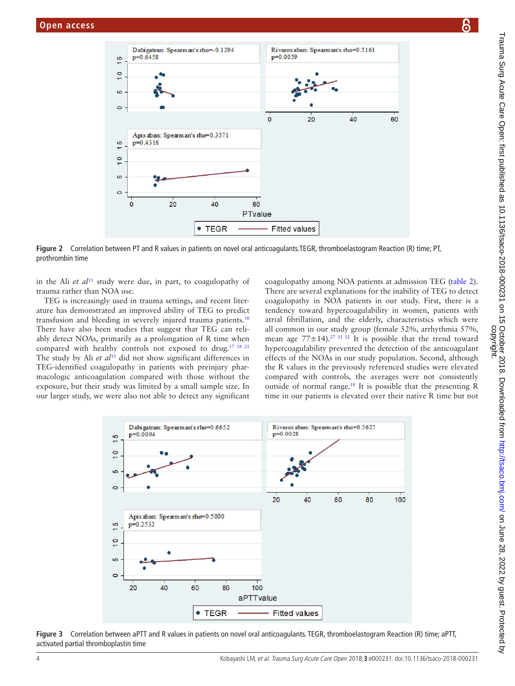

**Figure 2** Correlation between PT and R values in patients on novel oral anticoagulants.TEGR, thromboelastogram Reaction (R) time; PT, prothrombin time

in the Ali *et al*<sup>[11](#page-5-4)</sup> study were due, in part, to coagulopathy of trauma rather than NOA use.

TEG is increasingly used in trauma settings, and recent literature has demonstrated an improved ability of TEG to predict transfusion and bleeding in severely injured trauma patients.<sup>[30](#page-5-16)</sup> There have also been studies that suggest that TEG can reliably detect NOAs, primarily as a prolongation of R time when compared with healthy controls not exposed to drug[.17 18 21](#page-5-7) The study by Ali *et al*<sup>[11](#page-5-4)</sup> did not show significant differences in TEG-identified coagulopathy in patients with preinjury pharmacologic anticoagulation compared with those without the exposure, but their study was limited by a small sample size. In our larger study, we were also not able to detect any significant <span id="page-3-0"></span>coagulopathy among NOA patients at admission TEG [\(table](#page-1-1) 2). There are several explanations for the inability of TEG to detect coagulopathy in NOA patients in our study. First, there is a tendency toward hypercoagulability in women, patients with atrial fibrillation, and the elderly, characteristics which were all common in our study group (female 52%, arrhythmia 57%, mean age  $77 \pm 14$ ).<sup>27 31 32</sup> It is possible that the trend toward hypercoagulability prevented the detection of the anticoagulant effects of the NOAs in our study population. Second, although the R values in the previously referenced studies were elevated compared with controls, the averages were not consistently outside of normal range.<sup>18</sup> It is possible that the presenting R time in our patients is elevated over their native R time but not



<span id="page-3-1"></span>**Figure 3** Correlation between aPTT and R values in patients on novel oral anticoagulants. TEGR, thromboelastogram Reaction (R) time; aPTT, activated partial thromboplastin time

க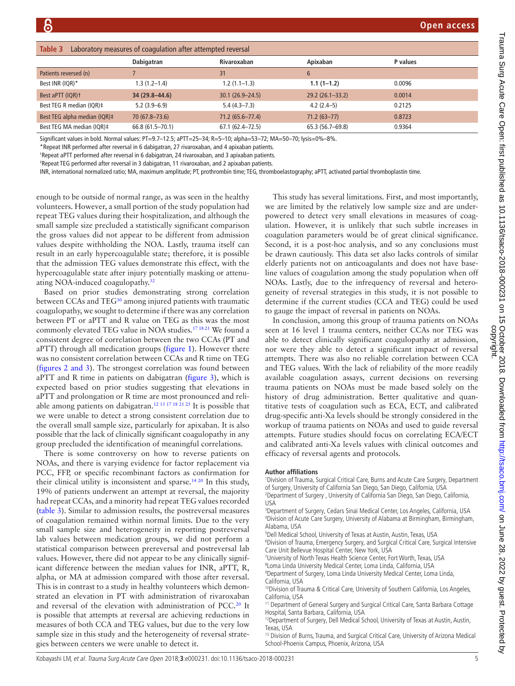<span id="page-4-0"></span>

| Laboratory measures of coagulation after attempted reversal<br>Table 3 |                     |                     |                     |          |  |  |  |  |
|------------------------------------------------------------------------|---------------------|---------------------|---------------------|----------|--|--|--|--|
|                                                                        | Dabigatran          | Rivaroxaban         | Apixaban            | P values |  |  |  |  |
| Patients reversed (n)                                                  |                     | 31                  | 6                   |          |  |  |  |  |
| Best INR (IQR)*                                                        | 1.3 (1.2–1.4)       | $1.2(1.1-1.3)$      | $1.1(1-1.2)$        | 0.0096   |  |  |  |  |
| Best aPTT (IQR)+                                                       | 34 (29.8-44.6)      | $30.1(26.9 - 24.5)$ | $29.2(26.1 - 33.2)$ | 0.0014   |  |  |  |  |
| Best TEG R median (IQR)‡                                               | $5.2(3.9-6.9)$      | $5.4(4.3 - 7.3)$    | $4.2(2.4-5)$        | 0.2125   |  |  |  |  |
| Best TEG alpha median (IQR)#                                           | $70(67.8 - 73.6)$   | $71.2(65.6 - 77.4)$ | $71.2(63 - 77)$     | 0.8723   |  |  |  |  |
| Best TEG MA median (IQR)‡                                              | $66.8(61.5 - 70.1)$ | $67.1(62.4 - 72.5)$ | 65.3 (56.7-69.8)    | 0.9364   |  |  |  |  |

Significant values in bold. Normal values: PT=9.7–12.5; aPTT=25–34; R=5–10; alpha=53–72; MA=50–70; lysis=0%–8%.

\*Repeat INR performed after reversal in 6 dabigatran, 27 rivaroxaban, and 4 apixaban patients.

† Repeat aPTT performed after reversal in 6 dabigatran, 24 rivaroxaban, and 3 apixaban patients.

‡ Repeat TEG performed after reversal in 3 dabigatran, 11 rivaroxaban, and 2 apixaban patients.

INR, international normalized ratio; MA, maximum amplitude; PT, prothrombin time; TEG, thromboelastography; aPTT, activated partial thromboplastin time.

enough to be outside of normal range, as was seen in the healthy volunteers. However, a small portion of the study population had repeat TEG values during their hospitalization, and although the small sample size precluded a statistically significant comparison the gross values did not appear to be different from admission values despite withholding the NOA. Lastly, trauma itself can result in an early hypercoagulable state; therefore, it is possible that the admission TEG values demonstrate this effect, with the hypercoagulable state after injury potentially masking or attenuating NOA-induced coagulopathy[.32](#page-5-18)

Based on prior studies demonstrating strong correlation between CCAs and TEG<sup>30</sup> among injured patients with traumatic coagulopathy, we sought to determine if there was any correlation between PT or aPTT and R value on TEG as this was the most commonly elevated TEG value in NOA studies.[17 18 21](#page-5-7) We found a consistent degree of correlation between the two CCAs (PT and aPTT) through all medication groups ([figure](#page-2-0) 1). However there was no consistent correlation between CCAs and R time on TEG (figures [2 and 3\)](#page-3-0). The strongest correlation was found between aPTT and R time in patients on dabigatran [\(figure](#page-3-1) 3), which is expected based on prior studies suggesting that elevations in aPTT and prolongation or R time are most pronounced and reliable among patients on dabigatran.[12 13 17 18 21 25](#page-5-15) It is possible that we were unable to detect a strong consistent correlation due to the overall small sample size, particularly for apixaban. It is also possible that the lack of clinically significant coagulopathy in any group precluded the identification of meaningful correlations.

There is some controversy on how to reverse patients on NOAs, and there is varying evidence for factor replacement via PCC, FFP, or specific recombinant factors as confirmation for their clinical utility is inconsistent and sparse.<sup>14 20</sup> In this study, 19% of patients underwent an attempt at reversal, the majority had repeat CCAs, and a minority had repeat TEG values recorded [\(table](#page-4-0) 3). Similar to admission results, the postreversal measures of coagulation remained within normal limits. Due to the very small sample size and heterogeneity in reporting postreversal lab values between medication groups, we did not perform a statistical comparison between prereversal and postreversal lab values. However, there did not appear to be any clinically significant difference between the median values for INR, aPTT, R, alpha, or MA at admission compared with those after reversal. This is in contrast to a study in healthy volunteers which demonstrated an elevation in PT with administration of rivaroxaban and reversal of the elevation with administration of PCC.<sup>20</sup> It is possible that attempts at reversal are achieving reductions in measures of both CCA and TEG values, but due to the very low sample size in this study and the heterogeneity of reversal strategies between centers we were unable to detect it.

This study has several limitations. First, and most importantly, we are limited by the relatively low sample size and are underpowered to detect very small elevations in measures of coagulation. However, it is unlikely that such subtle increases in coagulation parameters would be of great clinical significance. Second, it is a post-hoc analysis, and so any conclusions must be drawn cautiously. This data set also lacks controls of similar elderly patients not on anticoagulants and does not have baseline values of coagulation among the study population when off NOAs. Lastly, due to the infrequency of reversal and heterogeneity of reversal strategies in this study, it is not possible to determine if the current studies (CCA and TEG) could be used to gauge the impact of reversal in patients on NOAs.

In conclusion, among this group of trauma patients on NOAs seen at 16 level 1 trauma centers, neither CCAs nor TEG was able to detect clinically significant coagulopathy at admission, nor were they able to detect a significant impact of reversal attempts. There was also no reliable correlation between CCA and TEG values. With the lack of reliability of the more readily available coagulation assays, current decisions on reversing trauma patients on NOAs must be made based solely on the history of drug administration. Better qualitative and quantitative tests of coagulation such as ECA, ECT, and calibrated drug-specific anti-Xa levels should be strongly considered in the workup of trauma patients on NOAs and used to guide reversal attempts. Future studies should focus on correlating ECA/ECT and calibrated anti-Xa levels values with clinical outcomes and efficacy of reversal agents and protocols.

#### **Author affiliations**

1 Division of Trauma, Surgical Critical Care, Burns and Acute Care Surgery, Department of Surgery, University of California San Diego, San Diego, California, USA

2 Department of Surgery , University of California San Diego, San Diego, California, USA

3 Department of Surgery, Cedars Sinai Medical Center, Los Angeles, California, USA 4 Division of Acute Care Surgery, University of Alabama at Birmingham, Birmingham, Alabama, USA

5 Dell Medical School, University of Texas at Austin, Austin, Texas, USA

6 Division of Trauma, Emergency Surgery, and Surgical Critical Care, Surgical Intensive Care Unit Bellevue Hospital Center, New York, USA

7 University of North Texas Health Science Center, Fort Worth, Texas, USA

8 Loma Linda University Medical Center, Loma Linda, California, USA

9 Department of Surgery, Loma Linda University Medical Center, Loma Linda, California, USA

<sup>10</sup>Division of Trauma & Critical Care, University of Southern California, Los Angeles, California, USA

<sup>11</sup> Department of General Surgery and Surgical Critical Care, Santa Barbara Cottage Hospital, Santa Barbara, California, USA

<sup>12</sup>Department of Surgery, Dell Medical School, University of Texas at Austin, Austin, Texas, USA

<sup>13</sup> Division of Burns, Trauma, and Surgical Critical Care, University of Arizona Medical School-Phoenix Campus, Phoenix, Arizona, USA